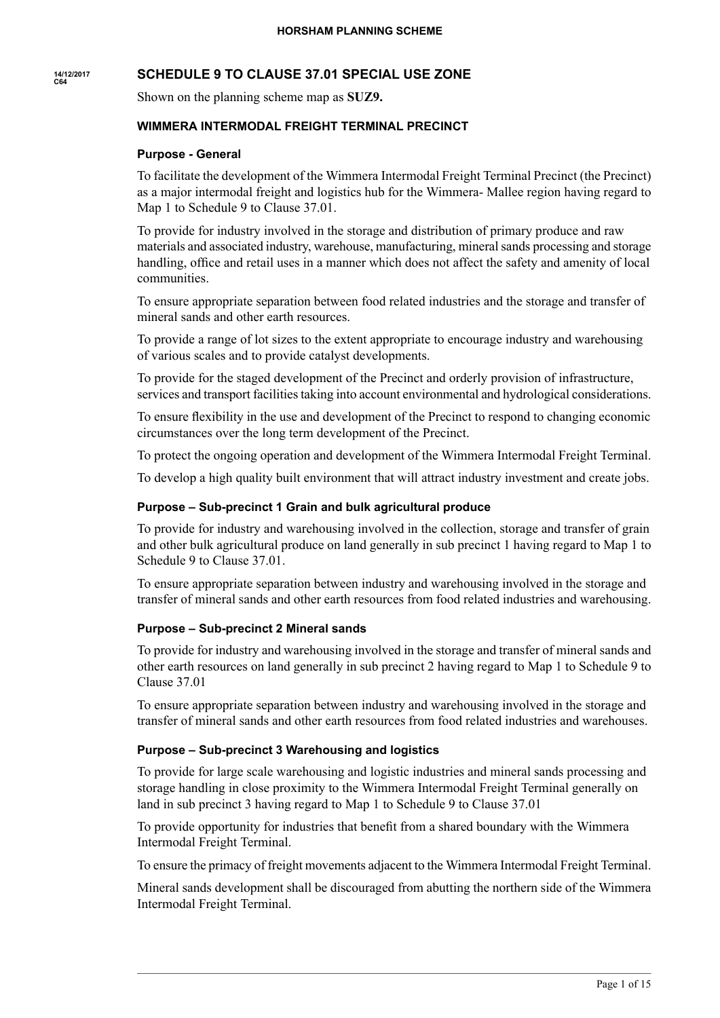#### **14/12/2017 C64 SCHEDULE 9 TO CLAUSE 37.01 SPECIAL USE ZONE**

Shown on the planning scheme map as **SUZ9.**

# **WIMMERA INTERMODAL FREIGHT TERMINAL PRECINCT**

#### **Purpose - General**

To facilitate the development of the Wimmera Intermodal Freight Terminal Precinct (the Precinct) as a major intermodal freight and logistics hub for the Wimmera- Mallee region having regard to Map 1 to Schedule 9 to Clause 37.01.

To provide for industry involved in the storage and distribution of primary produce and raw materials and associated industry, warehouse, manufacturing, mineralsands processing and storage handling, office and retail uses in a manner which does not affect the safety and amenity of local communities.

To ensure appropriate separation between food related industries and the storage and transfer of mineral sands and other earth resources.

To provide a range of lot sizes to the extent appropriate to encourage industry and warehousing of various scales and to provide catalyst developments.

To provide for the staged development of the Precinct and orderly provision of infrastructure, services and transport facilities taking into account environmental and hydrological considerations.

To ensure flexibility in the use and development of the Precinct to respond to changing economic circumstances over the long term development of the Precinct.

To protect the ongoing operation and development of the Wimmera Intermodal Freight Terminal.

To develop a high quality built environment that will attract industry investment and create jobs.

#### **Purpose – Sub-precinct 1 Grain and bulk agricultural produce**

To provide for industry and warehousing involved in the collection, storage and transfer of grain and other bulk agricultural produce on land generally in sub precinct 1 having regard to Map 1 to Schedule 9 to Clause 37.01.

To ensure appropriate separation between industry and warehousing involved in the storage and transfer of mineral sands and other earth resources from food related industries and warehousing.

#### **Purpose – Sub-precinct 2 Mineral sands**

To provide for industry and warehousing involved in the storage and transfer of mineral sands and other earth resources on land generally in sub precinct 2 having regard to Map 1 to Schedule 9 to Clause 37.01

To ensure appropriate separation between industry and warehousing involved in the storage and transfer of mineral sands and other earth resources from food related industries and warehouses.

## **Purpose – Sub-precinct 3 Warehousing and logistics**

To provide for large scale warehousing and logistic industries and mineral sands processing and storage handling in close proximity to the Wimmera Intermodal Freight Terminal generally on land in sub precinct 3 having regard to Map 1 to Schedule 9 to Clause 37.01

To provide opportunity for industries that benefit from a shared boundary with the Wimmera Intermodal Freight Terminal.

To ensure the primacy of freight movements adjacent to the Wimmera Intermodal Freight Terminal.

Mineral sands development shall be discouraged from abutting the northern side of the Wimmera Intermodal Freight Terminal.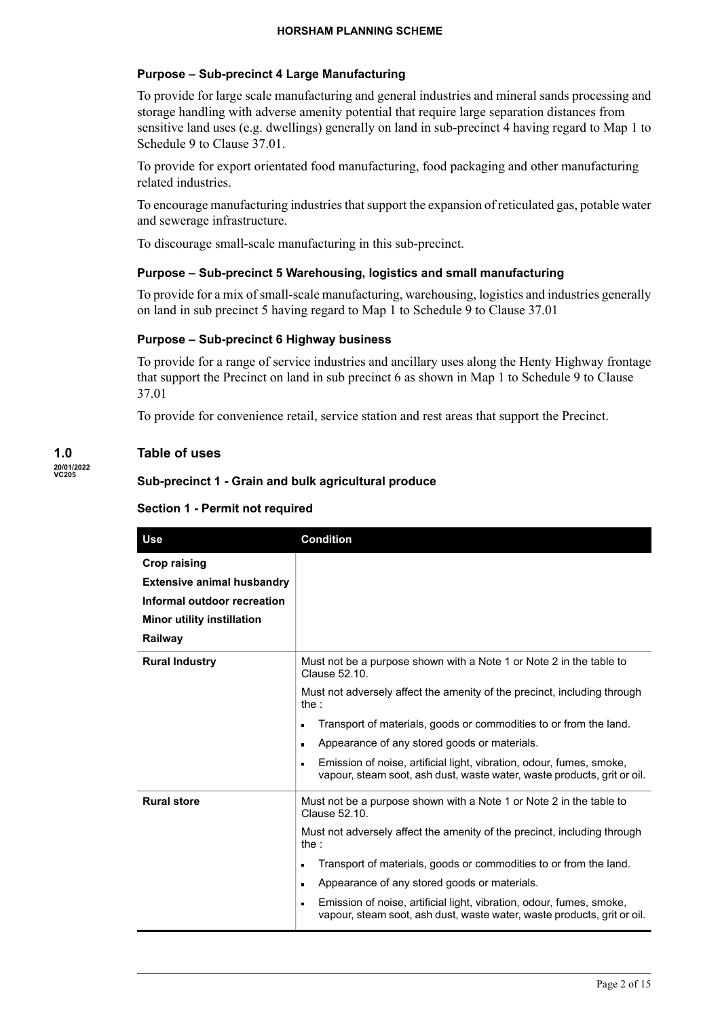# **Purpose – Sub-precinct 4 Large Manufacturing**

To provide for large scale manufacturing and general industries and mineral sands processing and storage handling with adverse amenity potential that require large separation distances from sensitive land uses (e.g. dwellings) generally on land in sub-precinct 4 having regard to Map 1 to Schedule 9 to Clause 37.01.

To provide for export orientated food manufacturing, food packaging and other manufacturing related industries.

To encourage manufacturing industries that support the expansion of reticulated gas, potable water and sewerage infrastructure.

To discourage small-scale manufacturing in this sub-precinct.

# **Purpose – Sub-precinct 5 Warehousing, logistics and small manufacturing**

To provide for a mix ofsmall-scale manufacturing, warehousing, logistics and industries generally on land in sub precinct 5 having regard to Map 1 to Schedule 9 to Clause 37.01

## **Purpose – Sub-precinct 6 Highway business**

To provide for a range of service industries and ancillary uses along the Henty Highway frontage that support the Precinct on land in sub precinct 6 as shown in Map 1 to Schedule 9 to Clause 37.01

To provide for convenience retail, service station and rest areas that support the Precinct.

# **Table of uses**

**1.0 20/01/2022 VC205**

# **Sub-precinct 1 - Grain and bulk agricultural produce**

| <b>Use</b>                                                                                                                              | <b>Condition</b>                                                                                                                                                                                                                                                                                                                                                                                                                                                              |
|-----------------------------------------------------------------------------------------------------------------------------------------|-------------------------------------------------------------------------------------------------------------------------------------------------------------------------------------------------------------------------------------------------------------------------------------------------------------------------------------------------------------------------------------------------------------------------------------------------------------------------------|
| <b>Crop raising</b><br><b>Extensive animal husbandry</b><br>Informal outdoor recreation<br><b>Minor utility instillation</b><br>Railway |                                                                                                                                                                                                                                                                                                                                                                                                                                                                               |
| <b>Rural Industry</b>                                                                                                                   | Must not be a purpose shown with a Note 1 or Note 2 in the table to<br>Clause 52.10.<br>Must not adversely affect the amenity of the precinct, including through<br>the :<br>Transport of materials, goods or commodities to or from the land.<br>Appearance of any stored goods or materials.<br>$\blacksquare$<br>Emission of noise, artificial light, vibration, odour, fumes, smoke,<br>vapour, steam soot, ash dust, waste water, waste products, grit or oil.           |
| <b>Rural store</b>                                                                                                                      | Must not be a purpose shown with a Note 1 or Note 2 in the table to<br>Clause 52.10.<br>Must not adversely affect the amenity of the precinct, including through<br>the :<br>Transport of materials, goods or commodities to or from the land.<br>n<br>Appearance of any stored goods or materials.<br>$\blacksquare$<br>Emission of noise, artificial light, vibration, odour, fumes, smoke,<br>n<br>vapour, steam soot, ash dust, waste water, waste products, grit or oil. |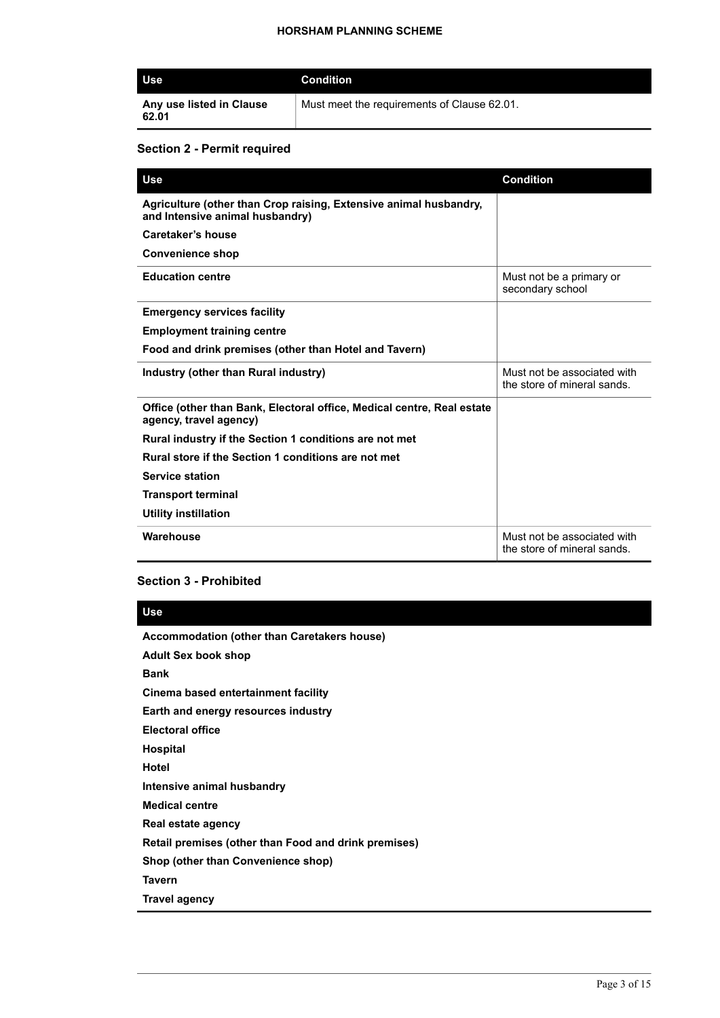| <b>Use</b>                        | Condition                                   |
|-----------------------------------|---------------------------------------------|
| Any use listed in Clause<br>62.01 | Must meet the requirements of Clause 62.01. |

### **Section 2 - Permit required**

| <b>Use</b>                                                                                           | <b>Condition</b>                                           |
|------------------------------------------------------------------------------------------------------|------------------------------------------------------------|
| Agriculture (other than Crop raising, Extensive animal husbandry,<br>and Intensive animal husbandry) |                                                            |
| Caretaker's house                                                                                    |                                                            |
| <b>Convenience shop</b>                                                                              |                                                            |
| <b>Education centre</b>                                                                              | Must not be a primary or<br>secondary school               |
| <b>Emergency services facility</b>                                                                   |                                                            |
| <b>Employment training centre</b>                                                                    |                                                            |
| Food and drink premises (other than Hotel and Tavern)                                                |                                                            |
| Industry (other than Rural industry)                                                                 | Must not be associated with<br>the store of mineral sands. |
| Office (other than Bank, Electoral office, Medical centre, Real estate<br>agency, travel agency)     |                                                            |
| Rural industry if the Section 1 conditions are not met                                               |                                                            |
| Rural store if the Section 1 conditions are not met                                                  |                                                            |
| <b>Service station</b>                                                                               |                                                            |
| <b>Transport terminal</b>                                                                            |                                                            |
| Utility instillation                                                                                 |                                                            |
| Warehouse                                                                                            | Must not be associated with<br>the store of mineral sands. |

#### **Section 3 - Prohibited**

#### **Use**

**Accommodation (other than Caretakers house)**

**Adult Sex book shop**

**Bank**

**Cinema based entertainment facility**

**Earth and energy resources industry**

**Electoral office**

**Hospital**

**Hotel**

**Intensive animal husbandry**

**Medical centre**

**Real estate agency**

**Retail premises (other than Food and drink premises)**

**Shop (other than Convenience shop)**

**Tavern**

**Travel agency**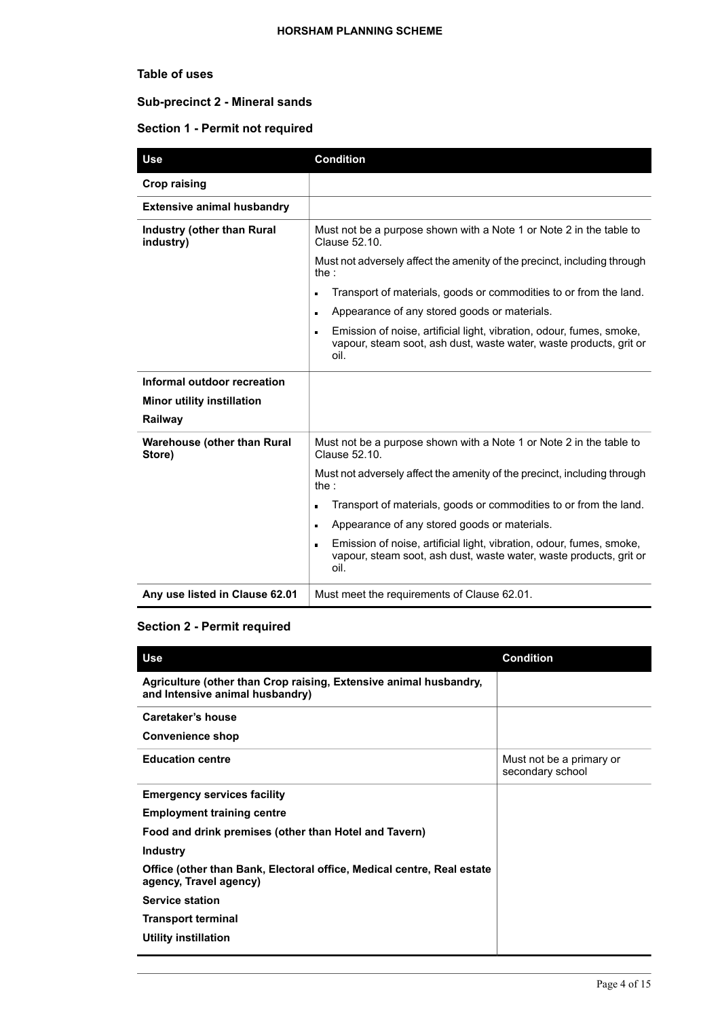# **Table of uses**

# **Sub-precinct 2 - Mineral sands**

# **Section 1 - Permit not required**

| <b>Use</b>                                   | <b>Condition</b>                                                                                                                                                     |
|----------------------------------------------|----------------------------------------------------------------------------------------------------------------------------------------------------------------------|
| <b>Crop raising</b>                          |                                                                                                                                                                      |
| <b>Extensive animal husbandry</b>            |                                                                                                                                                                      |
| Industry (other than Rural<br>industry)      | Must not be a purpose shown with a Note 1 or Note 2 in the table to<br>Clause 52.10.                                                                                 |
|                                              | Must not adversely affect the amenity of the precinct, including through<br>the :                                                                                    |
|                                              | Transport of materials, goods or commodities to or from the land.                                                                                                    |
|                                              | Appearance of any stored goods or materials.<br>$\blacksquare$                                                                                                       |
|                                              | Emission of noise, artificial light, vibration, odour, fumes, smoke,<br>n<br>vapour, steam soot, ash dust, waste water, waste products, grit or<br>oil.              |
| Informal outdoor recreation                  |                                                                                                                                                                      |
| <b>Minor utility instillation</b>            |                                                                                                                                                                      |
| Railway                                      |                                                                                                                                                                      |
| <b>Warehouse (other than Rural</b><br>Store) | Must not be a purpose shown with a Note 1 or Note 2 in the table to<br>Clause 52.10.                                                                                 |
|                                              | Must not adversely affect the amenity of the precinct, including through<br>the :                                                                                    |
|                                              | Transport of materials, goods or commodities to or from the land.                                                                                                    |
|                                              | Appearance of any stored goods or materials.<br>$\blacksquare$                                                                                                       |
|                                              | Emission of noise, artificial light, vibration, odour, fumes, smoke,<br>$\blacksquare$<br>vapour, steam soot, ash dust, waste water, waste products, grit or<br>oil. |
| Any use listed in Clause 62.01               | Must meet the requirements of Clause 62.01.                                                                                                                          |

# **Section 2 - Permit required**

| Use                                                                                                  | <b>Condition</b>                             |
|------------------------------------------------------------------------------------------------------|----------------------------------------------|
| Agriculture (other than Crop raising, Extensive animal husbandry,<br>and Intensive animal husbandry) |                                              |
| Caretaker's house                                                                                    |                                              |
| <b>Convenience shop</b>                                                                              |                                              |
| <b>Education centre</b>                                                                              | Must not be a primary or<br>secondary school |
| <b>Emergency services facility</b>                                                                   |                                              |
| <b>Employment training centre</b>                                                                    |                                              |
| Food and drink premises (other than Hotel and Tavern)                                                |                                              |
| <b>Industry</b>                                                                                      |                                              |
| Office (other than Bank, Electoral office, Medical centre, Real estate<br>agency, Travel agency)     |                                              |
| <b>Service station</b>                                                                               |                                              |
| <b>Transport terminal</b>                                                                            |                                              |
| <b>Utility instillation</b>                                                                          |                                              |
|                                                                                                      |                                              |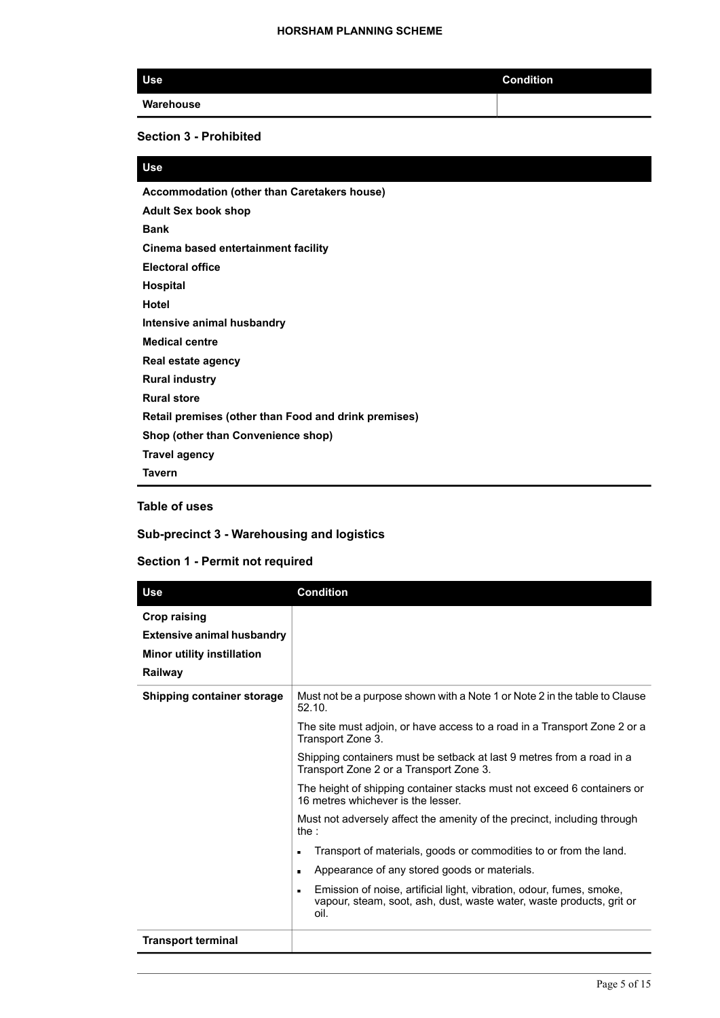| <b>Use</b> | <b>Condition</b> |
|------------|------------------|
| Warehouse  |                  |

## **Section 3 - Prohibited**

# **Use**

**Accommodation (other than Caretakers house) Adult Sex book shop Bank Cinema based entertainment facility Electoral office Hospital Hotel Intensive animal husbandry Medical centre Real estate agency Rural industry Rural store Retail premises (other than Food and drink premises) Shop (other than Convenience shop) Travel agency Tavern**

# **Table of uses**

#### **Sub-precinct 3 - Warehousing and logistics**

| <b>Use</b>                                                                                               | <b>Condition</b>                                                                                                                                                       |
|----------------------------------------------------------------------------------------------------------|------------------------------------------------------------------------------------------------------------------------------------------------------------------------|
| <b>Crop raising</b><br><b>Extensive animal husbandry</b><br><b>Minor utility instillation</b><br>Railway |                                                                                                                                                                        |
| <b>Shipping container storage</b>                                                                        | Must not be a purpose shown with a Note 1 or Note 2 in the table to Clause<br>52.10.                                                                                   |
|                                                                                                          | The site must adjoin, or have access to a road in a Transport Zone 2 or a<br>Transport Zone 3.                                                                         |
|                                                                                                          | Shipping containers must be setback at last 9 metres from a road in a<br>Transport Zone 2 or a Transport Zone 3.                                                       |
|                                                                                                          | The height of shipping container stacks must not exceed 6 containers or<br>16 metres whichever is the lesser.                                                          |
|                                                                                                          | Must not adversely affect the amenity of the precinct, including through<br>the :                                                                                      |
|                                                                                                          | Transport of materials, goods or commodities to or from the land.<br>$\blacksquare$                                                                                    |
|                                                                                                          | Appearance of any stored goods or materials.<br>$\blacksquare$                                                                                                         |
|                                                                                                          | Emission of noise, artificial light, vibration, odour, fumes, smoke,<br>$\blacksquare$<br>vapour, steam, soot, ash, dust, waste water, waste products, grit or<br>oil. |
| <b>Transport terminal</b>                                                                                |                                                                                                                                                                        |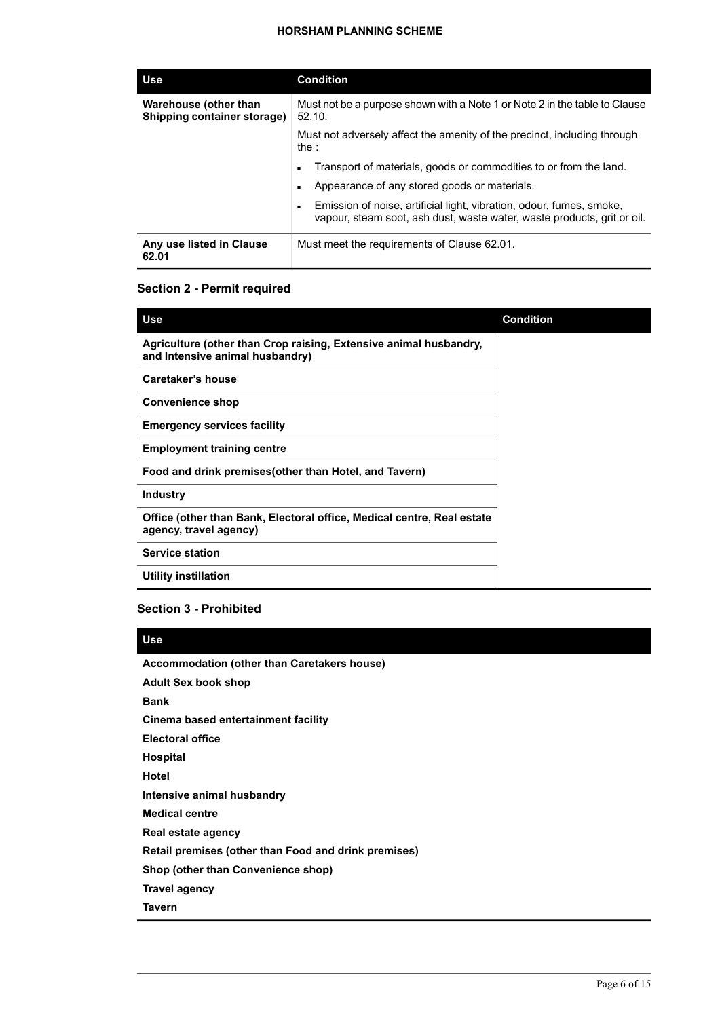#### **HORSHAM PLANNING SCHEME**

| <b>Use</b>                                           | <b>Condition</b>                                                                                                                                                  |
|------------------------------------------------------|-------------------------------------------------------------------------------------------------------------------------------------------------------------------|
| Warehouse (other than<br>Shipping container storage) | Must not be a purpose shown with a Note 1 or Note 2 in the table to Clause<br>52.10.                                                                              |
|                                                      | Must not adversely affect the amenity of the precinct, including through<br>the :                                                                                 |
|                                                      | Transport of materials, goods or commodities to or from the land.<br>$\blacksquare$                                                                               |
|                                                      | Appearance of any stored goods or materials.<br>$\blacksquare$                                                                                                    |
|                                                      | Emission of noise, artificial light, vibration, odour, fumes, smoke,<br>$\blacksquare$<br>vapour, steam soot, ash dust, waste water, waste products, grit or oil. |
| Any use listed in Clause<br>62.01                    | Must meet the requirements of Clause 62.01.                                                                                                                       |

#### **Section 2 - Permit required**

| <b>Use</b>                                                                                           | <b>Condition</b> |
|------------------------------------------------------------------------------------------------------|------------------|
| Agriculture (other than Crop raising, Extensive animal husbandry,<br>and Intensive animal husbandry) |                  |
| Caretaker's house                                                                                    |                  |
| <b>Convenience shop</b>                                                                              |                  |
| <b>Emergency services facility</b>                                                                   |                  |
| <b>Employment training centre</b>                                                                    |                  |
| Food and drink premises (other than Hotel, and Tavern)                                               |                  |
| <b>Industry</b>                                                                                      |                  |
| Office (other than Bank, Electoral office, Medical centre, Real estate<br>agency, travel agency)     |                  |
| <b>Service station</b>                                                                               |                  |
| Utility instillation                                                                                 |                  |

#### **Section 3 - Prohibited**

#### **Use**

**Accommodation (other than Caretakers house) Adult Sex book shop Bank Cinema based entertainment facility Electoral office Hospital Hotel Intensive animal husbandry Medical centre Real estate agency Retail premises (other than Food and drink premises) Shop (other than Convenience shop) Travel agency Tavern**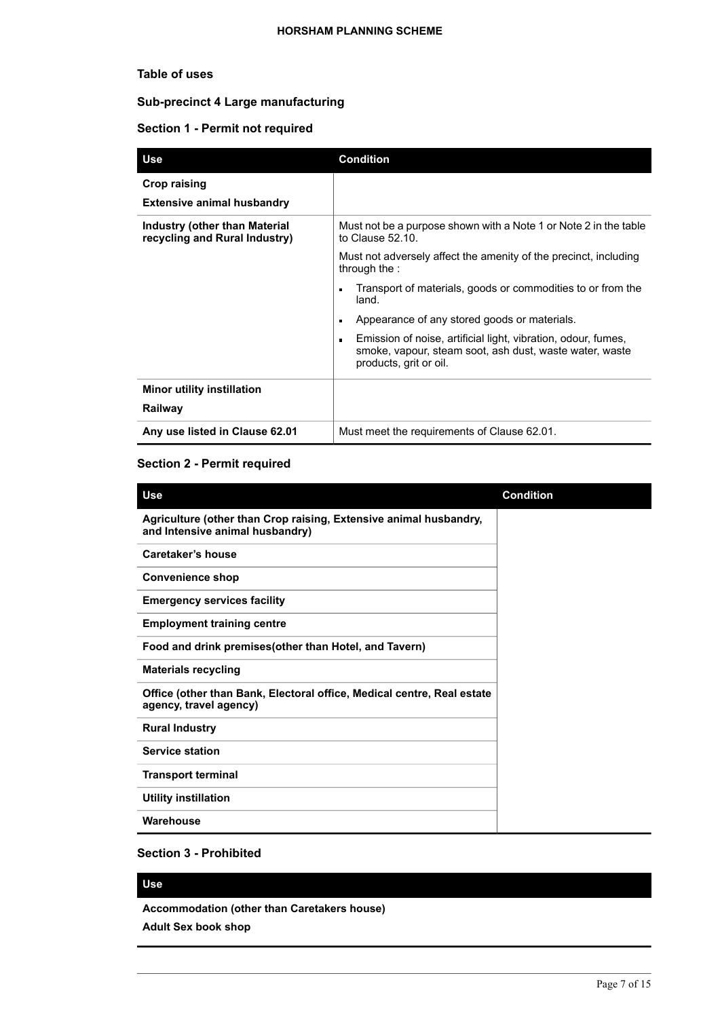# **Table of uses**

# **Sub-precinct 4 Large manufacturing**

# **Section 1 - Permit not required**

| Use                                                            | <b>Condition</b>                                                                                                                                                     |
|----------------------------------------------------------------|----------------------------------------------------------------------------------------------------------------------------------------------------------------------|
| Crop raising<br><b>Extensive animal husbandry</b>              |                                                                                                                                                                      |
| Industry (other than Material<br>recycling and Rural Industry) | Must not be a purpose shown with a Note 1 or Note 2 in the table<br>to Clause 52.10.                                                                                 |
|                                                                | Must not adversely affect the amenity of the precinct, including<br>through the :                                                                                    |
|                                                                | Transport of materials, goods or commodities to or from the<br>$\blacksquare$<br>land.                                                                               |
|                                                                | Appearance of any stored goods or materials.<br>$\blacksquare$                                                                                                       |
|                                                                | Emission of noise, artificial light, vibration, odour, fumes,<br>$\blacksquare$<br>smoke, vapour, steam soot, ash dust, waste water, waste<br>products, grit or oil. |
| <b>Minor utility instillation</b>                              |                                                                                                                                                                      |
| Railway                                                        |                                                                                                                                                                      |
| Any use listed in Clause 62.01                                 | Must meet the requirements of Clause 62.01.                                                                                                                          |

# **Section 2 - Permit required**

| <b>Use</b>                                                                                           | <b>Condition</b> |
|------------------------------------------------------------------------------------------------------|------------------|
| Agriculture (other than Crop raising, Extensive animal husbandry,<br>and Intensive animal husbandry) |                  |
| Caretaker's house                                                                                    |                  |
| <b>Convenience shop</b>                                                                              |                  |
| <b>Emergency services facility</b>                                                                   |                  |
| <b>Employment training centre</b>                                                                    |                  |
| Food and drink premises (other than Hotel, and Tavern)                                               |                  |
| <b>Materials recycling</b>                                                                           |                  |
| Office (other than Bank, Electoral office, Medical centre, Real estate<br>agency, travel agency)     |                  |
| <b>Rural Industry</b>                                                                                |                  |
| <b>Service station</b>                                                                               |                  |
| <b>Transport terminal</b>                                                                            |                  |
| <b>Utility instillation</b>                                                                          |                  |
| Warehouse                                                                                            |                  |

# **Section 3 - Prohibited**

# **Use**

**Accommodation (other than Caretakers house)**

**Adult Sex book shop**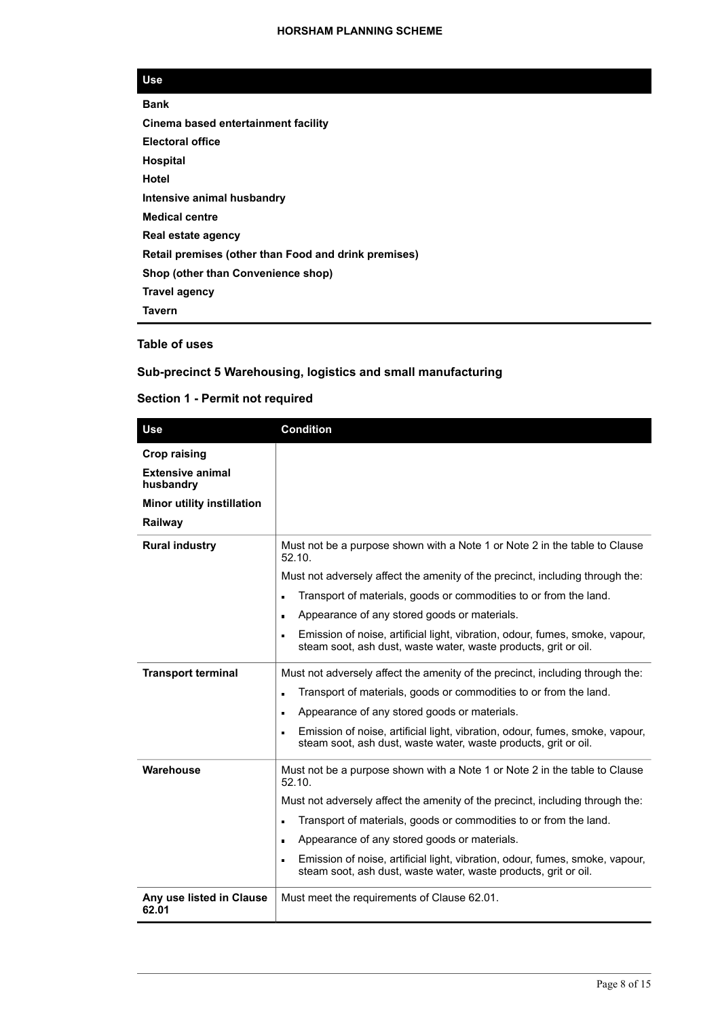| <b>Bank</b>                                          |
|------------------------------------------------------|
| Cinema based entertainment facility                  |
| <b>Electoral office</b>                              |
| <b>Hospital</b>                                      |
| Hotel                                                |
| Intensive animal husbandry                           |
| <b>Medical centre</b>                                |
| Real estate agency                                   |
| Retail premises (other than Food and drink premises) |
| Shop (other than Convenience shop)                   |
| Travel agency                                        |
| Tavern                                               |
|                                                      |

# **Table of uses**

# **Sub-precinct 5 Warehousing, logistics and small manufacturing**

| <b>Use</b>                           | <b>Condition</b>                                                                                                                                                  |  |
|--------------------------------------|-------------------------------------------------------------------------------------------------------------------------------------------------------------------|--|
| <b>Crop raising</b>                  |                                                                                                                                                                   |  |
| <b>Extensive animal</b><br>husbandry |                                                                                                                                                                   |  |
| <b>Minor utility instillation</b>    |                                                                                                                                                                   |  |
| Railway                              |                                                                                                                                                                   |  |
| <b>Rural industry</b>                | Must not be a purpose shown with a Note 1 or Note 2 in the table to Clause<br>52.10.                                                                              |  |
|                                      | Must not adversely affect the amenity of the precinct, including through the:                                                                                     |  |
|                                      | Transport of materials, goods or commodities to or from the land.<br>n                                                                                            |  |
|                                      | Appearance of any stored goods or materials.<br>$\blacksquare$                                                                                                    |  |
|                                      | Emission of noise, artificial light, vibration, odour, fumes, smoke, vapour,<br>$\blacksquare$<br>steam soot, ash dust, waste water, waste products, grit or oil. |  |
| <b>Transport terminal</b>            | Must not adversely affect the amenity of the precinct, including through the:                                                                                     |  |
|                                      | Transport of materials, goods or commodities to or from the land.                                                                                                 |  |
|                                      | Appearance of any stored goods or materials.<br>п                                                                                                                 |  |
|                                      | Emission of noise, artificial light, vibration, odour, fumes, smoke, vapour,<br>$\blacksquare$<br>steam soot, ash dust, waste water, waste products, grit or oil. |  |
| Warehouse                            | Must not be a purpose shown with a Note 1 or Note 2 in the table to Clause<br>52.10.                                                                              |  |
|                                      | Must not adversely affect the amenity of the precinct, including through the:                                                                                     |  |
|                                      | Transport of materials, goods or commodities to or from the land.                                                                                                 |  |
|                                      | Appearance of any stored goods or materials.<br>$\blacksquare$                                                                                                    |  |
|                                      | Emission of noise, artificial light, vibration, odour, fumes, smoke, vapour,<br>steam soot, ash dust, waste water, waste products, grit or oil.                   |  |
| Any use listed in Clause<br>62.01    | Must meet the requirements of Clause 62.01.                                                                                                                       |  |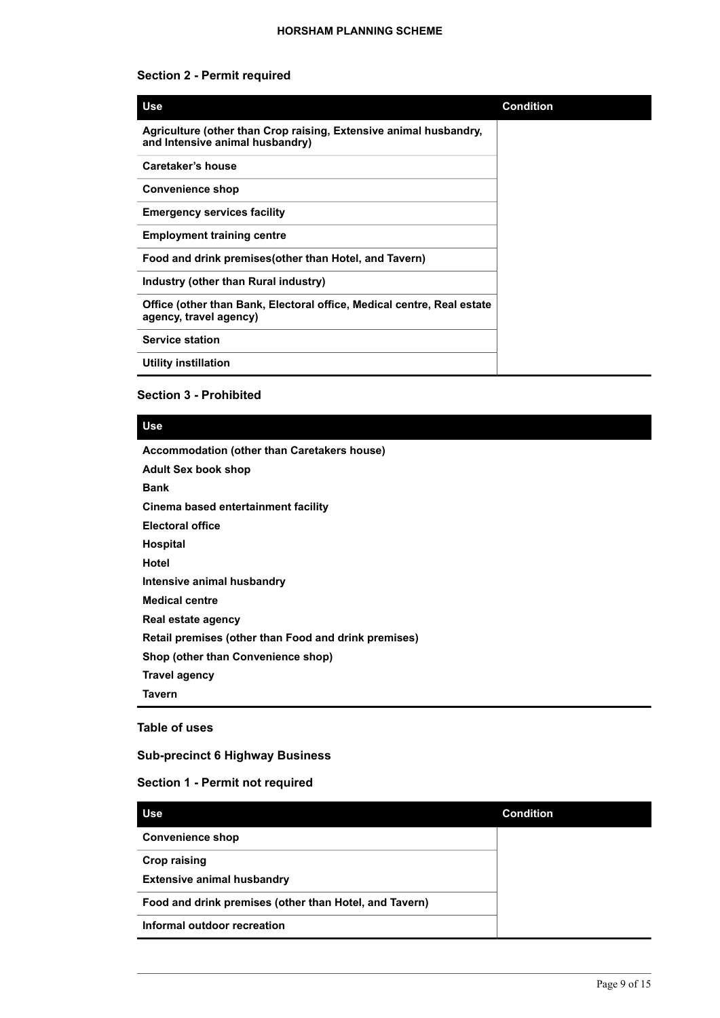# **Section 2 - Permit required**

| <b>Use</b>                                                                                           | <b>Condition</b> |
|------------------------------------------------------------------------------------------------------|------------------|
| Agriculture (other than Crop raising, Extensive animal husbandry,<br>and Intensive animal husbandry) |                  |
| Caretaker's house                                                                                    |                  |
| <b>Convenience shop</b>                                                                              |                  |
| <b>Emergency services facility</b>                                                                   |                  |
| <b>Employment training centre</b>                                                                    |                  |
| Food and drink premises (other than Hotel, and Tavern)                                               |                  |
| Industry (other than Rural industry)                                                                 |                  |
| Office (other than Bank, Electoral office, Medical centre, Real estate<br>agency, travel agency)     |                  |
| <b>Service station</b>                                                                               |                  |
| <b>Utility instillation</b>                                                                          |                  |

# **Section 3 - Prohibited**

#### **Use**

**Accommodation (other than Caretakers house)**

**Adult Sex book shop Bank Cinema based entertainment facility Electoral office Hospital Hotel Intensive animal husbandry Medical centre Real estate agency Retail premises (other than Food and drink premises) Shop (other than Convenience shop) Travel agency Tavern**

#### **Table of uses**

#### **Sub-precinct 6 Highway Business**

| <b>Use</b>                                             | <b>Condition</b> |
|--------------------------------------------------------|------------------|
| <b>Convenience shop</b>                                |                  |
| <b>Crop raising</b>                                    |                  |
| <b>Extensive animal husbandry</b>                      |                  |
| Food and drink premises (other than Hotel, and Tavern) |                  |
| Informal outdoor recreation                            |                  |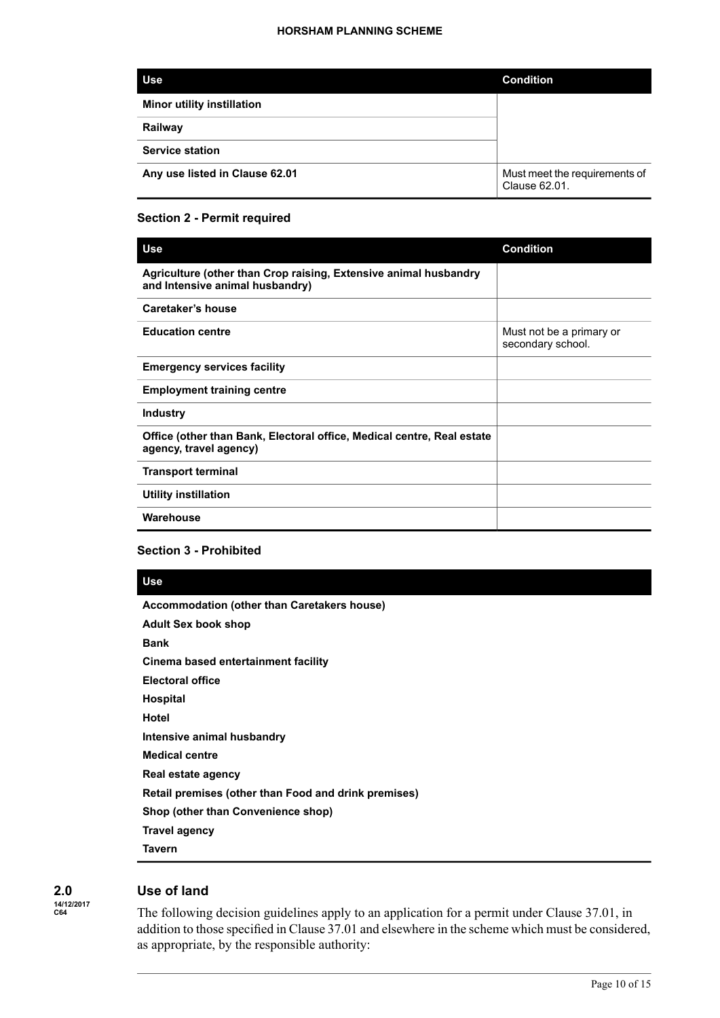| <b>Use</b>                        | <b>Condition</b>                               |
|-----------------------------------|------------------------------------------------|
| <b>Minor utility instillation</b> |                                                |
| Railway                           |                                                |
| <b>Service station</b>            |                                                |
| Any use listed in Clause 62.01    | Must meet the requirements of<br>Clause 62.01. |

# **Section 2 - Permit required**

| <b>Use</b>                                                                                          | <b>Condition</b>                              |
|-----------------------------------------------------------------------------------------------------|-----------------------------------------------|
| Agriculture (other than Crop raising, Extensive animal husbandry<br>and Intensive animal husbandry) |                                               |
| Caretaker's house                                                                                   |                                               |
| <b>Education centre</b>                                                                             | Must not be a primary or<br>secondary school. |
| <b>Emergency services facility</b>                                                                  |                                               |
| <b>Employment training centre</b>                                                                   |                                               |
| <b>Industry</b>                                                                                     |                                               |
| Office (other than Bank, Electoral office, Medical centre, Real estate<br>agency, travel agency)    |                                               |
| <b>Transport terminal</b>                                                                           |                                               |
| <b>Utility instillation</b>                                                                         |                                               |
| Warehouse                                                                                           |                                               |
|                                                                                                     |                                               |

## **Section 3 - Prohibited**

#### **Use**

**Accommodation (other than Caretakers house)**

**Adult Sex book shop Bank Cinema based entertainment facility Electoral office Hospital Hotel Intensive animal husbandry Medical centre Real estate agency Retail premises (other than Food and drink premises) Shop (other than Convenience shop) Travel agency Tavern**

**2.0 14/12/2017 C64**

# **Use of land**

The following decision guidelines apply to an application for a permit under Clause 37.01, in addition to those specified in Clause 37.01 and elsewhere in the scheme which must be considered, as appropriate, by the responsible authority: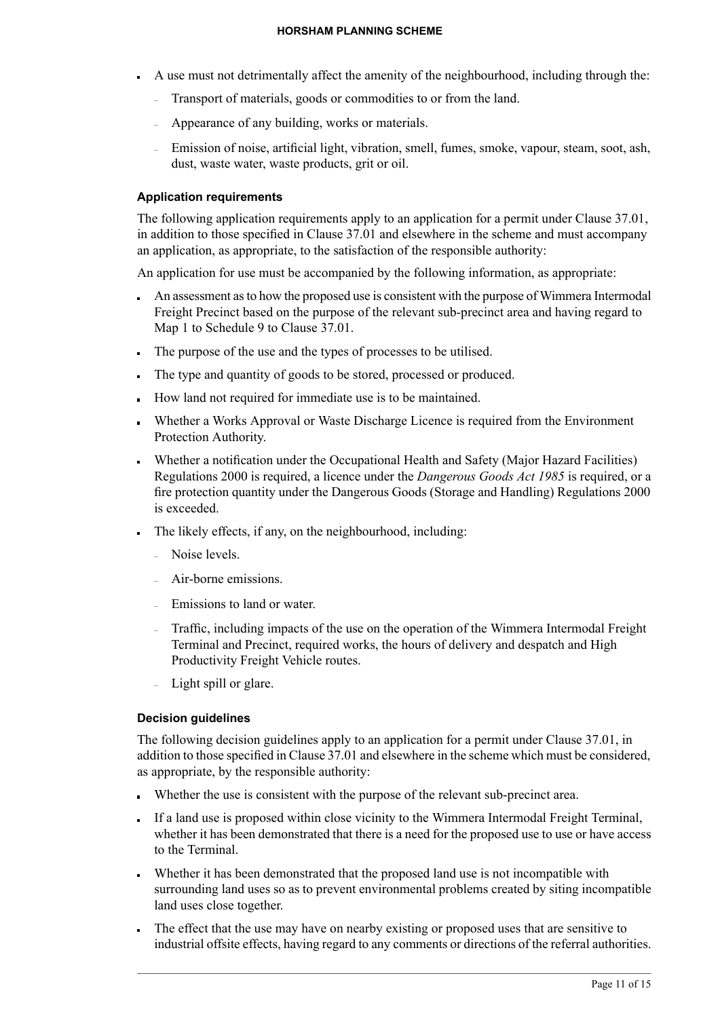- A use must not detrimentally affect the amenity of the neighbourhood, including through the:
	- Transport of materials, goods or commodities to or from the land.
	- Appearance of any building, works or materials.
	- Emission of noise, artificial light, vibration, smell, fumes, smoke, vapour, steam, soot, ash, dust, waste water, waste products, grit or oil.

# **Application requirements**

The following application requirements apply to an application for a permit under Clause 37.01, in addition to those specified in Clause 37.01 and elsewhere in the scheme and must accompany an application, as appropriate, to the satisfaction of the responsible authority:

An application for use must be accompanied by the following information, as appropriate:

- An assessment as to how the proposed use is consistent with the purpose of Wimmera Intermodal Freight Precinct based on the purpose of the relevant sub-precinct area and having regard to Map 1 to Schedule 9 to Clause 37.01.
- The purpose of the use and the types of processes to be utilised.
- The type and quantity of goods to be stored, processed or produced.
- How land not required for immediate use is to be maintained.
- Whether a Works Approval or Waste Discharge Licence is required from the Environment Protection Authority.
- Whether a notification under the Occupational Health and Safety (Major Hazard Facilities) Regulations 2000 is required, a licence under the *Dangerous Goods Act 1985* is required, or a fire protection quantity under the Dangerous Goods (Storage and Handling) Regulations 2000 is exceeded.
- The likely effects, if any, on the neighbourhood, including:
	- Noise levels.
	- Air-borne emissions.
	- Emissions to land or water.
	- Traffic, including impacts of the use on the operation of the Wimmera Intermodal Freight Terminal and Precinct, required works, the hours of delivery and despatch and High Productivity Freight Vehicle routes.
	- Light spill or glare.

# **Decision guidelines**

The following decision guidelines apply to an application for a permit under Clause 37.01, in addition to those specified in Clause 37.01 and elsewhere in the scheme which must be considered, as appropriate, by the responsible authority:

- Whether the use is consistent with the purpose of the relevant sub-precinct area.
- If a land use is proposed within close vicinity to the Wimmera Intermodal Freight Terminal, whether it has been demonstrated that there is a need for the proposed use to use or have access to the Terminal.
- Whether it has been demonstrated that the proposed land use is not incompatible with surrounding land uses so as to prevent environmental problems created by siting incompatible land uses close together.
- The effect that the use may have on nearby existing or proposed uses that are sensitive to industrial offsite effects, having regard to any comments or directions of the referral authorities.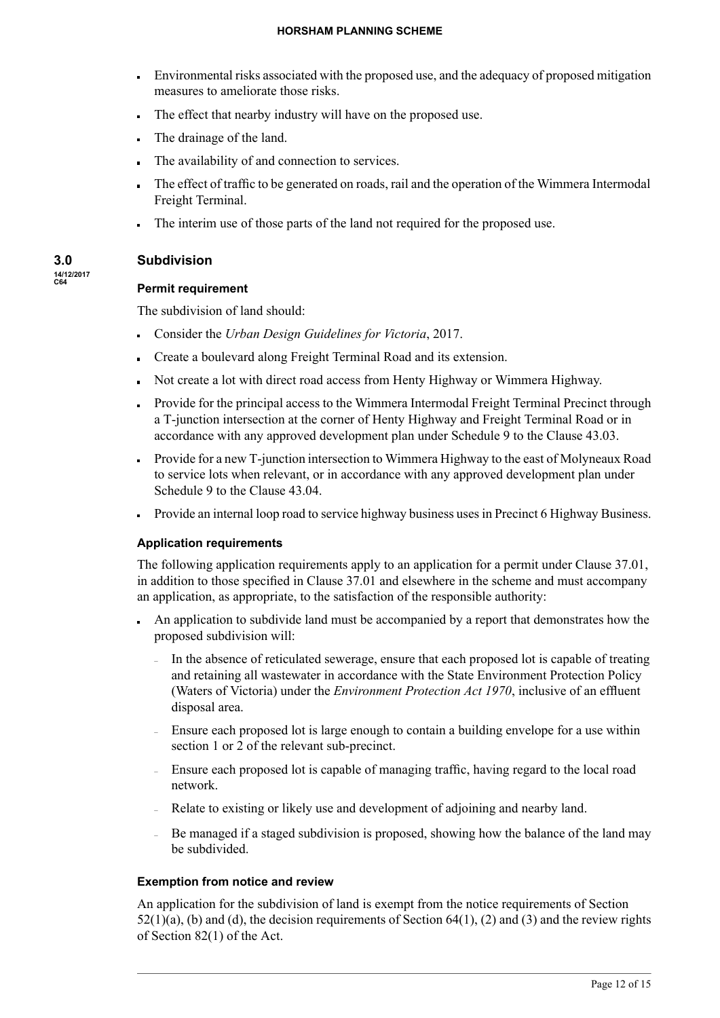#### **HORSHAM PLANNING SCHEME**

- Environmental risks associated with the proposed use, and the adequacy of proposed mitigation measures to ameliorate those risks.
- The effect that nearby industry will have on the proposed use.
- The drainage of the land.
- The availability of and connection to services.
- The effect of traffic to be generated on roads, rail and the operation of the Wimmera Intermodal  $\blacksquare$ Freight Terminal.
- The interim use of those parts of the land not required for the proposed use.

# **Subdivision**

# **14/12/2017 C64**

**3.0**

# **Permit requirement**

The subdivision of land should:

- Consider the *Urban Design Guidelines for Victoria*, 2017.
- Create a boulevard along Freight Terminal Road and its extension.
- Not create a lot with direct road access from Henty Highway or Wimmera Highway.
- Provide for the principal access to the Wimmera Intermodal Freight Terminal Precinct through a T-junction intersection at the corner of Henty Highway and Freight Terminal Road or in accordance with any approved development plan under Schedule 9 to the Clause 43.03.
- Provide for a new T-junction intersection to Wimmera Highway to the east of Molyneaux Road to service lots when relevant, or in accordance with any approved development plan under Schedule 9 to the Clause 43.04.
- Provide an internal loop road to service highway business uses in Precinct 6 Highway Business.

## **Application requirements**

The following application requirements apply to an application for a permit under Clause 37.01, in addition to those specified in Clause 37.01 and elsewhere in the scheme and must accompany an application, as appropriate, to the satisfaction of the responsible authority:

- An application to subdivide land must be accompanied by a report that demonstrates how the proposed subdivision will:
	- In the absence of reticulated sewerage, ensure that each proposed lot is capable of treating and retaining all wastewater in accordance with the State Environment Protection Policy (Waters of Victoria) under the *Environment Protection Act 1970*, inclusive of an effluent disposal area.
	- Ensure each proposed lot is large enough to contain a building envelope for a use within section 1 or 2 of the relevant sub-precinct.
	- Ensure each proposed lot is capable of managing traffic, having regard to the local road network.
	- Relate to existing or likely use and development of adjoining and nearby land.
	- Be managed if a staged subdivision is proposed, showing how the balance of the land may be subdivided.

# **Exemption from notice and review**

An application for the subdivision of land is exempt from the notice requirements of Section  $52(1)(a)$ , (b) and (d), the decision requirements of Section  $64(1)$ , (2) and (3) and the review rights of Section 82(1) of the Act.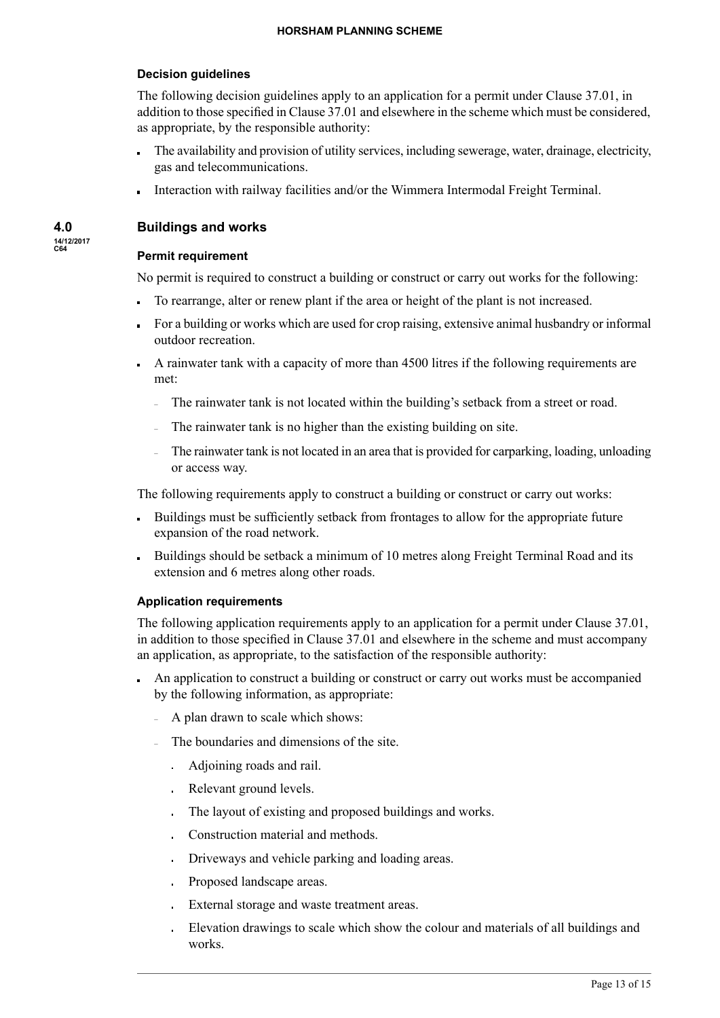# **Decision guidelines**

The following decision guidelines apply to an application for a permit under Clause 37.01, in addition to those specified in Clause 37.01 and elsewhere in the scheme which must be considered, as appropriate, by the responsible authority:

- The availability and provision of utility services, including sewerage, water, drainage, electricity, gas and telecommunications.
- Interaction with railway facilities and/or the Wimmera Intermodal Freight Terminal.

# **Buildings and works**

**4.0 14/12/2017 C64**

## **Permit requirement**

No permit is required to construct a building or construct or carry out works for the following:

- To rearrange, alter or renew plant if the area or height of the plant is not increased.
- For a building or works which are used for crop raising, extensive animal husbandry or informal outdoor recreation.
- A rainwater tank with a capacity of more than 4500 litres if the following requirements are met:
	- The rainwater tank is not located within the building's setback from a street or road.
	- The rainwater tank is no higher than the existing building on site.
	- The rainwater tank is not located in an area that is provided for carparking, loading, unloading or access way.

The following requirements apply to construct a building or construct or carry out works:

- Buildings must be sufficiently setback from frontages to allow for the appropriate future expansion of the road network.
- Buildings should be setback a minimum of 10 metres along Freight Terminal Road and its extension and 6 metres along other roads.

## **Application requirements**

The following application requirements apply to an application for a permit under Clause 37.01, in addition to those specified in Clause 37.01 and elsewhere in the scheme and must accompany an application, as appropriate, to the satisfaction of the responsible authority:

- An application to construct a building or construct or carry out works must be accompanied by the following information, as appropriate:
	- A plan drawn to scale which shows:
	- The boundaries and dimensions of the site.
		- Adjoining roads and rail.
		- Relevant ground levels.
		- The layout of existing and proposed buildings and works.
		- Construction material and methods.
		- Driveways and vehicle parking and loading areas.
		- Proposed landscape areas.
		- External storage and waste treatment areas.
		- Elevation drawings to scale which show the colour and materials of all buildings and works.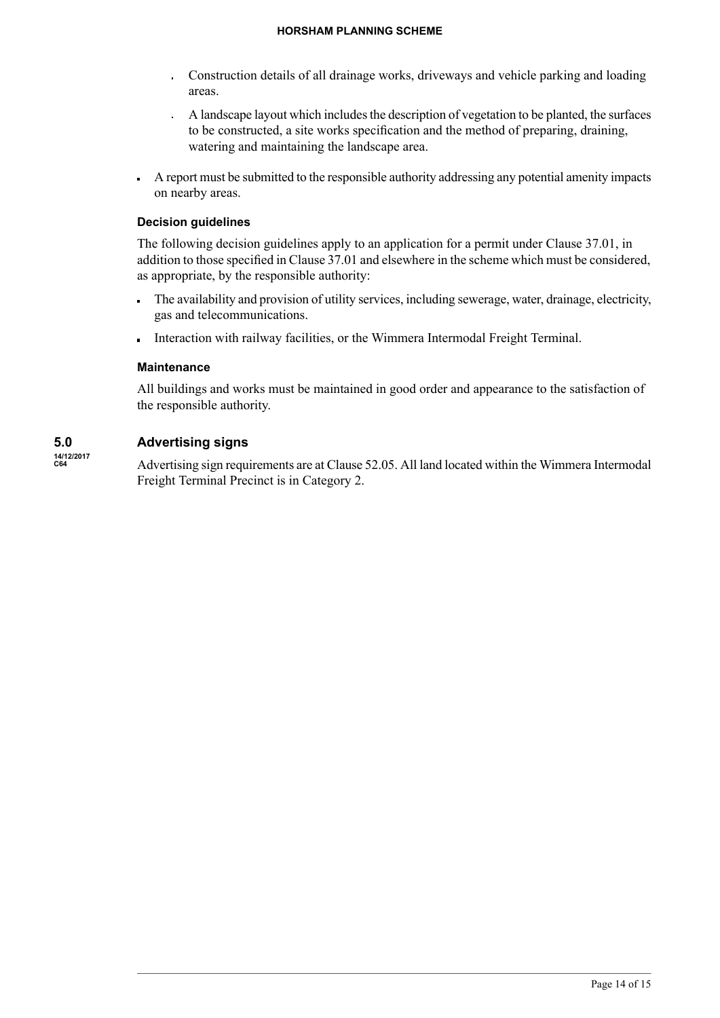- Construction details of all drainage works, driveways and vehicle parking and loading areas.
- $\overline{A}$  landscape layout which includes the description of vegetation to be planted, the surfaces to be constructed, a site works specification and the method of preparing, draining, watering and maintaining the landscape area.
- A report must be submitted to the responsible authority addressing any potential amenity impacts on nearby areas.

# **Decision guidelines**

The following decision guidelines apply to an application for a permit under Clause 37.01, in addition to those specified in Clause 37.01 and elsewhere in the scheme which must be considered, as appropriate, by the responsible authority:

- The availability and provision of utility services, including sewerage, water, drainage, electricity,  $\blacksquare$ gas and telecommunications.
- Interaction with railway facilities, or the Wimmera Intermodal Freight Terminal.

# **Maintenance**

All buildings and works must be maintained in good order and appearance to the satisfaction of the responsible authority.

#### **5.0 14/12/2017 Advertising signs**

**C64**

Advertising sign requirements are at Clause 52.05. All land located within the Wimmera Intermodal Freight Terminal Precinct is in Category 2.